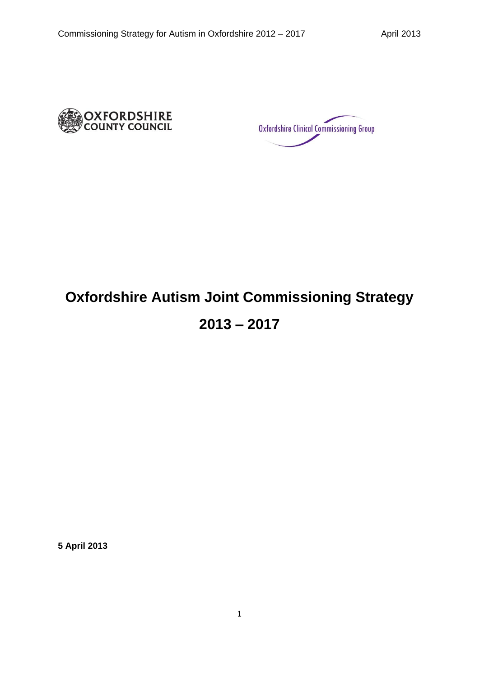

Oxfordshire Clinical Commissioning Group

# **Oxfordshire Autism Joint Commissioning Strategy**

# **2013 – 2017**

**5 April 2013**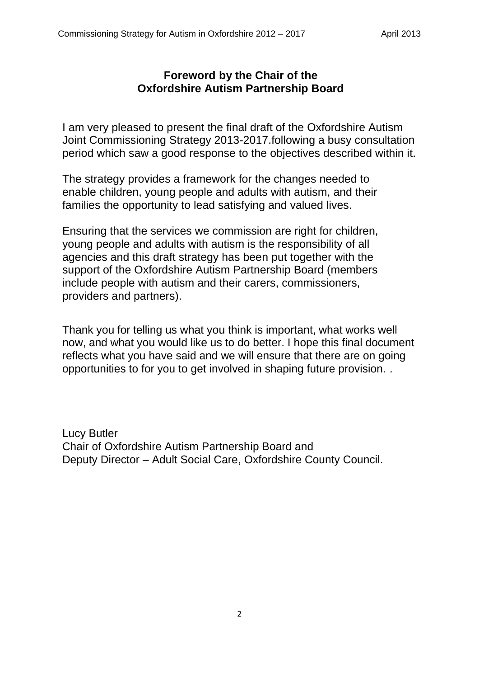# **Foreword by the Chair of the Oxfordshire Autism Partnership Board**

I am very pleased to present the final draft of the Oxfordshire Autism Joint Commissioning Strategy 2013-2017.following a busy consultation period which saw a good response to the objectives described within it.

The strategy provides a framework for the changes needed to enable children, young people and adults with autism, and their families the opportunity to lead satisfying and valued lives.

Ensuring that the services we commission are right for children, young people and adults with autism is the responsibility of all agencies and this draft strategy has been put together with the support of the Oxfordshire Autism Partnership Board (members include people with autism and their carers, commissioners, providers and partners).

Thank you for telling us what you think is important, what works well now, and what you would like us to do better. I hope this final document reflects what you have said and we will ensure that there are on going opportunities to for you to get involved in shaping future provision. .

Lucy Butler Chair of Oxfordshire Autism Partnership Board and Deputy Director – Adult Social Care, Oxfordshire County Council.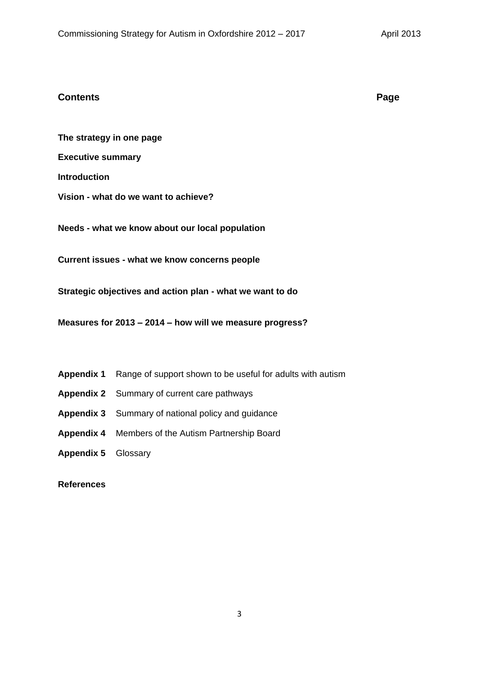#### **Contents Page**

**The strategy in one page**

**Executive summary**

**Introduction** 

**Vision - what do we want to achieve?**

**Needs - what we know about our local population**

**Current issues - what we know concerns people**

**Strategic objectives and action plan - what we want to do**

**Measures for 2013 – 2014 – how will we measure progress?**

- **Appendix 1** Range of support shown to be useful for adults with autism
- **Appendix 2** Summary of current care pathways
- **Appendix 3** Summary of national policy and guidance
- **Appendix 4** Members of the Autism Partnership Board
- **Appendix 5** Glossary

## **References**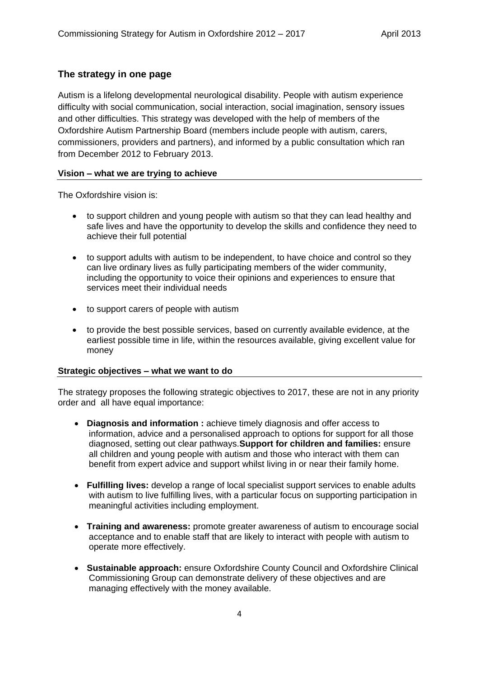## **The strategy in one page**

Autism is a lifelong developmental neurological disability. People with autism experience difficulty with social communication, social interaction, social imagination, sensory issues and other difficulties. This strategy was developed with the help of members of the Oxfordshire Autism Partnership Board (members include people with autism, carers, commissioners, providers and partners), and informed by a public consultation which ran from December 2012 to February 2013.

#### **Vision – what we are trying to achieve**

The Oxfordshire vision is:

- to support children and young people with autism so that they can lead healthy and safe lives and have the opportunity to develop the skills and confidence they need to achieve their full potential
- to support adults with autism to be independent, to have choice and control so they can live ordinary lives as fully participating members of the wider community, including the opportunity to voice their opinions and experiences to ensure that services meet their individual needs
- to support carers of people with autism
- to provide the best possible services, based on currently available evidence, at the earliest possible time in life, within the resources available, giving excellent value for money

#### **Strategic objectives – what we want to do**

The strategy proposes the following strategic objectives to 2017, these are not in any priority order and all have equal importance:

- **Diagnosis and information :** achieve timely diagnosis and offer access to information, advice and a personalised approach to options for support for all those diagnosed, setting out clear pathways.**Support for children and families:** ensure all children and young people with autism and those who interact with them can benefit from expert advice and support whilst living in or near their family home.
- **Fulfilling lives:** develop a range of local specialist support services to enable adults with autism to live fulfilling lives, with a particular focus on supporting participation in meaningful activities including employment.
- **Training and awareness:** promote greater awareness of autism to encourage social acceptance and to enable staff that are likely to interact with people with autism to operate more effectively.
- **Sustainable approach:** ensure Oxfordshire County Council and Oxfordshire Clinical Commissioning Group can demonstrate delivery of these objectives and are managing effectively with the money available.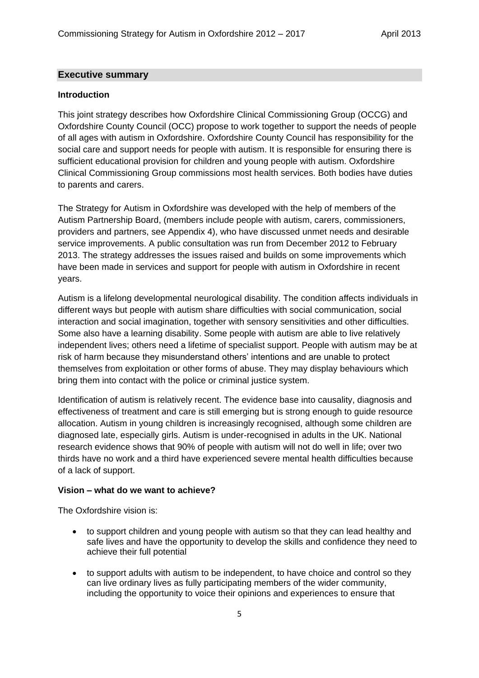#### **Executive summary**

#### **Introduction**

This joint strategy describes how Oxfordshire Clinical Commissioning Group (OCCG) and Oxfordshire County Council (OCC) propose to work together to support the needs of people of all ages with autism in Oxfordshire. Oxfordshire County Council has responsibility for the social care and support needs for people with autism. It is responsible for ensuring there is sufficient educational provision for children and young people with autism. Oxfordshire Clinical Commissioning Group commissions most health services. Both bodies have duties to parents and carers.

The Strategy for Autism in Oxfordshire was developed with the help of members of the Autism Partnership Board, (members include people with autism, carers, commissioners, providers and partners, see Appendix 4), who have discussed unmet needs and desirable service improvements. A public consultation was run from December 2012 to February 2013. The strategy addresses the issues raised and builds on some improvements which have been made in services and support for people with autism in Oxfordshire in recent years.

Autism is a lifelong developmental neurological disability. The condition affects individuals in different ways but people with autism share difficulties with social communication, social interaction and social imagination, together with sensory sensitivities and other difficulties. Some also have a learning disability. Some people with autism are able to live relatively independent lives; others need a lifetime of specialist support. People with autism may be at risk of harm because they misunderstand others' intentions and are unable to protect themselves from exploitation or other forms of abuse. They may display behaviours which bring them into contact with the police or criminal justice system.

Identification of autism is relatively recent. The evidence base into causality, diagnosis and effectiveness of treatment and care is still emerging but is strong enough to guide resource allocation. Autism in young children is increasingly recognised, although some children are diagnosed late, especially girls. Autism is under-recognised in adults in the UK. National research evidence shows that 90% of people with autism will not do well in life; over two thirds have no work and a third have experienced severe mental health difficulties because of a lack of support.

#### **Vision – what do we want to achieve?**

The Oxfordshire vision is:

- to support children and young people with autism so that they can lead healthy and safe lives and have the opportunity to develop the skills and confidence they need to achieve their full potential
- to support adults with autism to be independent, to have choice and control so they can live ordinary lives as fully participating members of the wider community, including the opportunity to voice their opinions and experiences to ensure that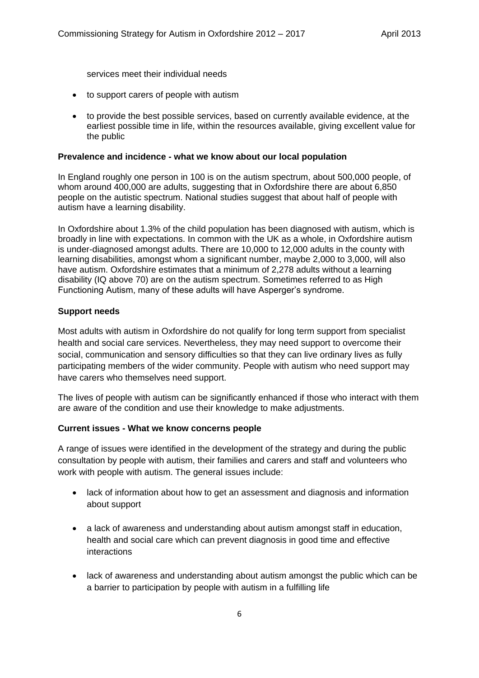services meet their individual needs

- to support carers of people with autism
- to provide the best possible services, based on currently available evidence, at the earliest possible time in life, within the resources available, giving excellent value for the public

#### **Prevalence and incidence - what we know about our local population**

In England roughly one person in 100 is on the autism spectrum, about 500,000 people, of whom around 400,000 are adults, suggesting that in Oxfordshire there are about 6,850 people on the autistic spectrum. National studies suggest that about half of people with autism have a learning disability.

In Oxfordshire about 1.3% of the child population has been diagnosed with autism, which is broadly in line with expectations. In common with the UK as a whole, in Oxfordshire autism is under-diagnosed amongst adults. There are 10,000 to 12,000 adults in the county with learning disabilities, amongst whom a significant number, maybe 2,000 to 3,000, will also have autism. Oxfordshire estimates that a minimum of 2,278 adults without a learning disability (IQ above 70) are on the autism spectrum. Sometimes referred to as High Functioning Autism, many of these adults will have Asperger's syndrome.

#### **Support needs**

Most adults with autism in Oxfordshire do not qualify for long term support from specialist health and social care services. Nevertheless, they may need support to overcome their social, communication and sensory difficulties so that they can live ordinary lives as fully participating members of the wider community. People with autism who need support may have carers who themselves need support.

The lives of people with autism can be significantly enhanced if those who interact with them are aware of the condition and use their knowledge to make adjustments.

#### **Current issues - What we know concerns people**

A range of issues were identified in the development of the strategy and during the public consultation by people with autism, their families and carers and staff and volunteers who work with people with autism. The general issues include:

- lack of information about how to get an assessment and diagnosis and information about support
- a lack of awareness and understanding about autism amongst staff in education, health and social care which can prevent diagnosis in good time and effective interactions
- lack of awareness and understanding about autism amongst the public which can be a barrier to participation by people with autism in a fulfilling life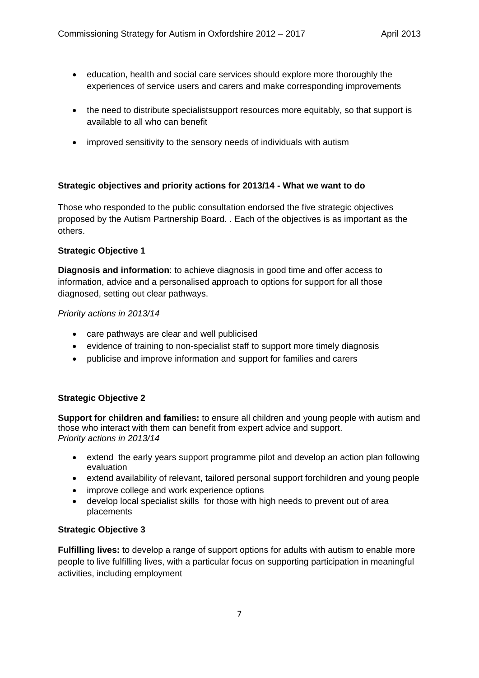- education, health and social care services should explore more thoroughly the experiences of service users and carers and make corresponding improvements
- the need to distribute specialistsupport resources more equitably, so that support is available to all who can benefit
- improved sensitivity to the sensory needs of individuals with autism

## **Strategic objectives and priority actions for 2013/14 - What we want to do**

Those who responded to the public consultation endorsed the five strategic objectives proposed by the Autism Partnership Board. . Each of the objectives is as important as the others.

#### **Strategic Objective 1**

**Diagnosis and information**: to achieve diagnosis in good time and offer access to information, advice and a personalised approach to options for support for all those diagnosed, setting out clear pathways.

#### *Priority actions in 2013/14*

- care pathways are clear and well publicised
- evidence of training to non-specialist staff to support more timely diagnosis
- publicise and improve information and support for families and carers

#### **Strategic Objective 2**

**Support for children and families:** to ensure all children and young people with autism and those who interact with them can benefit from expert advice and support. *Priority actions in 2013/14*

- extend the early years support programme pilot and develop an action plan following evaluation
- extend availability of relevant, tailored personal support forchildren and young people
- improve college and work experience options
- develop local specialist skills for those with high needs to prevent out of area placements

#### **Strategic Objective 3**

**Fulfilling lives:** to develop a range of support options for adults with autism to enable more people to live fulfilling lives, with a particular focus on supporting participation in meaningful activities, including employment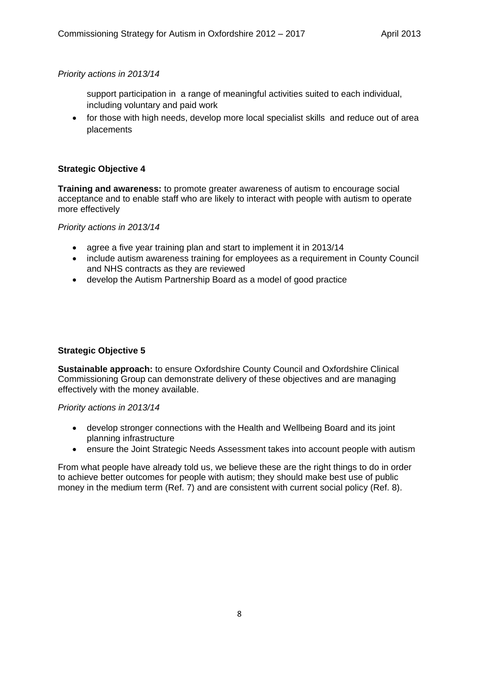*Priority actions in 2013/14*

- support participation in a range of meaningful activities suited to each individual, including voluntary and paid work
- for those with high needs, develop more local specialist skills and reduce out of area placements

## **Strategic Objective 4**

**Training and awareness:** to promote greater awareness of autism to encourage social acceptance and to enable staff who are likely to interact with people with autism to operate more effectively

*Priority actions in 2013/14*

- agree a five year training plan and start to implement it in 2013/14
- include autism awareness training for employees as a requirement in County Council and NHS contracts as they are reviewed
- develop the Autism Partnership Board as a model of good practice

#### **Strategic Objective 5**

**Sustainable approach:** to ensure Oxfordshire County Council and Oxfordshire Clinical Commissioning Group can demonstrate delivery of these objectives and are managing effectively with the money available.

*Priority actions in 2013/14*

- develop stronger connections with the Health and Wellbeing Board and its joint planning infrastructure
- ensure the Joint Strategic Needs Assessment takes into account people with autism

From what people have already told us, we believe these are the right things to do in order to achieve better outcomes for people with autism; they should make best use of public money in the medium term (Ref. 7) and are consistent with current social policy (Ref. 8).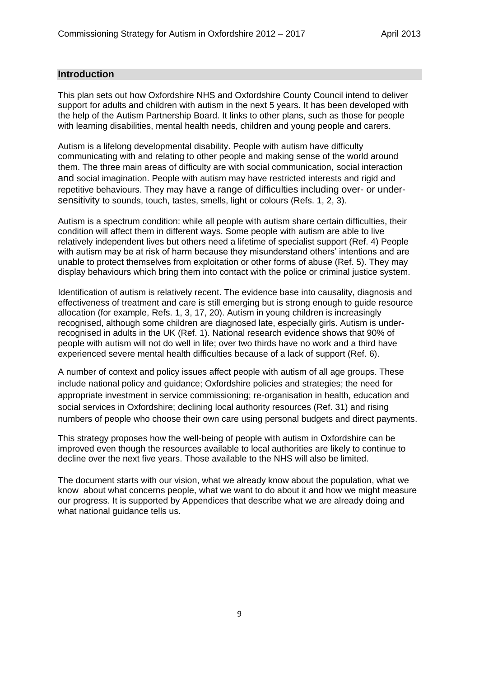#### **Introduction**

This plan sets out how Oxfordshire NHS and Oxfordshire County Council intend to deliver support for adults and children with autism in the next 5 years. It has been developed with the help of the Autism Partnership Board. It links to other plans, such as those for people with learning disabilities, mental health needs, children and young people and carers.

Autism is a lifelong developmental disability. People with autism have difficulty communicating with and relating to other people and making sense of the world around them. The three main areas of difficulty are with social communication, social interaction and social imagination. People with autism may have restricted interests and rigid and repetitive behaviours. They may have a range of difficulties including over- or undersensitivity to sounds, touch, tastes, smells, light or colours (Refs. 1, 2, 3).

Autism is a spectrum condition: while all people with autism share certain difficulties, their condition will affect them in different ways. Some people with autism are able to live relatively independent lives but others need a lifetime of specialist support (Ref. 4) People with autism may be at risk of harm because they misunderstand others' intentions and are unable to protect themselves from exploitation or other forms of abuse (Ref. 5). They may display behaviours which bring them into contact with the police or criminal justice system.

Identification of autism is relatively recent. The evidence base into causality, diagnosis and effectiveness of treatment and care is still emerging but is strong enough to guide resource allocation (for example, Refs. 1, 3, 17, 20). Autism in young children is increasingly recognised, although some children are diagnosed late, especially girls. Autism is underrecognised in adults in the UK (Ref. 1). National research evidence shows that 90% of people with autism will not do well in life; over two thirds have no work and a third have experienced severe mental health difficulties because of a lack of support (Ref. 6).

A number of context and policy issues affect people with autism of all age groups. These include national policy and guidance; Oxfordshire policies and strategies; the need for appropriate investment in service commissioning; re-organisation in health, education and social services in Oxfordshire; declining local authority resources (Ref. 31) and rising numbers of people who choose their own care using personal budgets and direct payments.

This strategy proposes how the well-being of people with autism in Oxfordshire can be improved even though the resources available to local authorities are likely to continue to decline over the next five years. Those available to the NHS will also be limited.

The document starts with our vision, what we already know about the population, what we know about what concerns people, what we want to do about it and how we might measure our progress. It is supported by Appendices that describe what we are already doing and what national guidance tells us.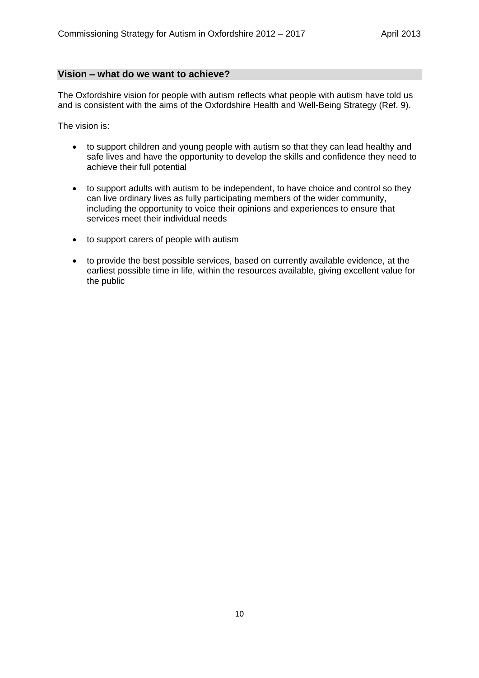#### **Vision – what do we want to achieve?**

The Oxfordshire vision for people with autism reflects what people with autism have told us and is consistent with the aims of the Oxfordshire Health and Well-Being Strategy (Ref. 9).

The vision is:

- to support children and young people with autism so that they can lead healthy and safe lives and have the opportunity to develop the skills and confidence they need to achieve their full potential
- to support adults with autism to be independent, to have choice and control so they can live ordinary lives as fully participating members of the wider community, including the opportunity to voice their opinions and experiences to ensure that services meet their individual needs
- to support carers of people with autism
- to provide the best possible services, based on currently available evidence, at the earliest possible time in life, within the resources available, giving excellent value for the public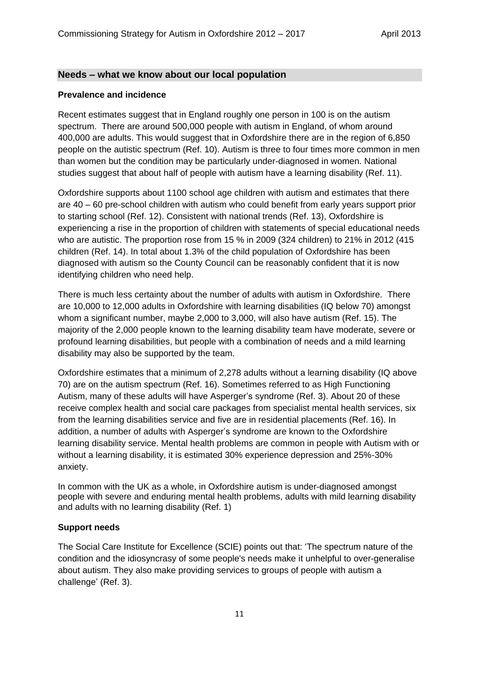#### **Needs – what we know about our local population**

#### **Prevalence and incidence**

Recent estimates suggest that in England roughly one person in 100 is on the autism spectrum. There are around 500,000 people with autism in England, of whom around 400,000 are adults. This would suggest that in Oxfordshire there are in the region of 6,850 people on the autistic spectrum (Ref. 10). Autism is three to four times more common in men than women but the condition may be particularly under-diagnosed in women. National studies suggest that about half of people with autism have a learning disability (Ref. 11).

Oxfordshire supports about 1100 school age children with autism and estimates that there are 40 – 60 pre-school children with autism who could benefit from early years support prior to starting school (Ref. 12). Consistent with national trends (Ref. 13), Oxfordshire is experiencing a rise in the proportion of children with statements of special educational needs who are autistic. The proportion rose from 15 % in 2009 (324 children) to 21% in 2012 (415 children (Ref. 14). In total about 1.3% of the child population of Oxfordshire has been diagnosed with autism so the County Council can be reasonably confident that it is now identifying children who need help.

There is much less certainty about the number of adults with autism in Oxfordshire. There are 10,000 to 12,000 adults in Oxfordshire with learning disabilities (IQ below 70) amongst whom a significant number, maybe 2,000 to 3,000, will also have autism (Ref. 15). The majority of the 2,000 people known to the learning disability team have moderate, severe or profound learning disabilities, but people with a combination of needs and a mild learning disability may also be supported by the team.

Oxfordshire estimates that a minimum of 2,278 adults without a learning disability (IQ above 70) are on the autism spectrum (Ref. 16). Sometimes referred to as High Functioning Autism, many of these adults will have Asperger's syndrome (Ref. 3). About 20 of these receive complex health and social care packages from specialist mental health services, six from the learning disabilities service and five are in residential placements (Ref. 16). In addition, a number of adults with Asperger's syndrome are known to the Oxfordshire learning disability service. Mental health problems are common in people with Autism with or without a learning disability, it is estimated 30% experience depression and 25%-30% anxiety.

In common with the UK as a whole, in Oxfordshire autism is under-diagnosed amongst people with severe and enduring mental health problems, adults with mild learning disability and adults with no learning disability (Ref. 1)

#### **Support needs**

The Social Care Institute for Excellence (SCIE) points out that: 'The spectrum nature of the condition and the idiosyncrasy of some people's needs make it unhelpful to over-generalise about autism. They also make providing services to groups of people with autism a challenge' (Ref. 3).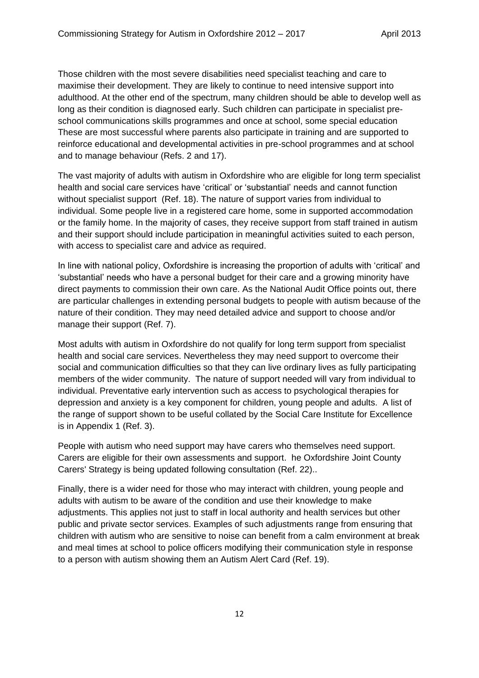Those children with the most severe disabilities need specialist teaching and care to maximise their development. They are likely to continue to need intensive support into adulthood. At the other end of the spectrum, many children should be able to develop well as long as their condition is diagnosed early. Such children can participate in specialist preschool communications skills programmes and once at school, some special education These are most successful where parents also participate in training and are supported to reinforce educational and developmental activities in pre-school programmes and at school and to manage behaviour (Refs. 2 and 17).

The vast majority of adults with autism in Oxfordshire who are eligible for long term specialist health and social care services have 'critical' or 'substantial' needs and cannot function without specialist support (Ref. 18). The nature of support varies from individual to individual. Some people live in a registered care home, some in supported accommodation or the family home. In the majority of cases, they receive support from staff trained in autism and their support should include participation in meaningful activities suited to each person, with access to specialist care and advice as required.

In line with national policy, Oxfordshire is increasing the proportion of adults with 'critical' and 'substantial' needs who have a personal budget for their care and a growing minority have direct payments to commission their own care. As the National Audit Office points out, there are particular challenges in extending personal budgets to people with autism because of the nature of their condition. They may need detailed advice and support to choose and/or manage their support (Ref. 7).

Most adults with autism in Oxfordshire do not qualify for long term support from specialist health and social care services. Nevertheless they may need support to overcome their social and communication difficulties so that they can live ordinary lives as fully participating members of the wider community. The nature of support needed will vary from individual to individual. Preventative early intervention such as access to psychological therapies for depression and anxiety is a key component for children, young people and adults. A list of the range of support shown to be useful collated by the Social Care Institute for Excellence is in Appendix 1 (Ref. 3).

People with autism who need support may have carers who themselves need support. Carers are eligible for their own assessments and support. he Oxfordshire Joint County Carers' Strategy is being updated following consultation (Ref. 22)..

Finally, there is a wider need for those who may interact with children, young people and adults with autism to be aware of the condition and use their knowledge to make adjustments. This applies not just to staff in local authority and health services but other public and private sector services. Examples of such adjustments range from ensuring that children with autism who are sensitive to noise can benefit from a calm environment at break and meal times at school to police officers modifying their communication style in response to a person with autism showing them an Autism Alert Card (Ref. 19).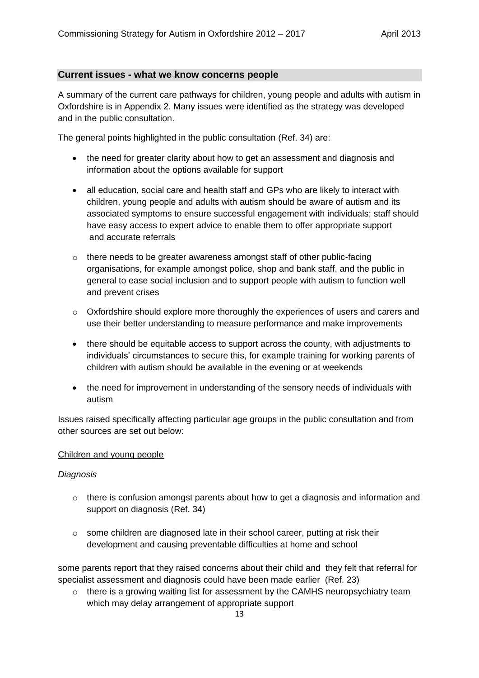## **Current issues - what we know concerns people**

A summary of the current care pathways for children, young people and adults with autism in Oxfordshire is in Appendix 2. Many issues were identified as the strategy was developed and in the public consultation.

The general points highlighted in the public consultation (Ref. 34) are:

- the need for greater clarity about how to get an assessment and diagnosis and information about the options available for support
- all education, social care and health staff and GPs who are likely to interact with children, young people and adults with autism should be aware of autism and its associated symptoms to ensure successful engagement with individuals; staff should have easy access to expert advice to enable them to offer appropriate support and accurate referrals
- $\circ$  there needs to be greater awareness amongst staff of other public-facing organisations, for example amongst police, shop and bank staff, and the public in general to ease social inclusion and to support people with autism to function well and prevent crises
- o Oxfordshire should explore more thoroughly the experiences of users and carers and use their better understanding to measure performance and make improvements
- there should be equitable access to support across the county, with adjustments to individuals' circumstances to secure this, for example training for working parents of children with autism should be available in the evening or at weekends
- the need for improvement in understanding of the sensory needs of individuals with autism

Issues raised specifically affecting particular age groups in the public consultation and from other sources are set out below:

#### Children and young people

#### *Diagnosis*

- o there is confusion amongst parents about how to get a diagnosis and information and support on diagnosis (Ref. 34)
- $\circ$  some children are diagnosed late in their school career, putting at risk their development and causing preventable difficulties at home and school

some parents report that they raised concerns about their child and they felt that referral for specialist assessment and diagnosis could have been made earlier (Ref. 23)

 $\circ$  there is a growing waiting list for assessment by the CAMHS neuropsychiatry team which may delay arrangement of appropriate support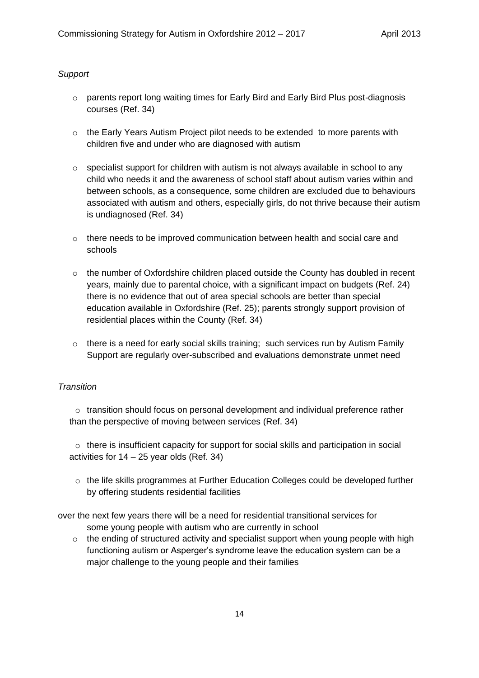#### *Support*

- o parents report long waiting times for Early Bird and Early Bird Plus post-diagnosis courses (Ref. 34)
- $\circ$  the Early Years Autism Project pilot needs to be extended to more parents with children five and under who are diagnosed with autism
- o specialist support for children with autism is not always available in school to any child who needs it and the awareness of school staff about autism varies within and between schools, as a consequence, some children are excluded due to behaviours associated with autism and others, especially girls, do not thrive because their autism is undiagnosed (Ref. 34)
- $\circ$  there needs to be improved communication between health and social care and schools
- $\circ$  the number of Oxfordshire children placed outside the County has doubled in recent years, mainly due to parental choice, with a significant impact on budgets (Ref. 24) there is no evidence that out of area special schools are better than special education available in Oxfordshire (Ref. 25); parents strongly support provision of residential places within the County (Ref. 34)
- $\circ$  there is a need for early social skills training; such services run by Autism Family Support are regularly over-subscribed and evaluations demonstrate unmet need

#### *Transition*

 $\circ$  transition should focus on personal development and individual preference rather than the perspective of moving between services (Ref. 34)

 $\circ$  there is insufficient capacity for support for social skills and participation in social activities for 14 – 25 year olds (Ref. 34)

 $\circ$  the life skills programmes at Further Education Colleges could be developed further by offering students residential facilities

over the next few years there will be a need for residential transitional services for some young people with autism who are currently in school

 $\circ$  the ending of structured activity and specialist support when young people with high functioning autism or Asperger's syndrome leave the education system can be a major challenge to the young people and their families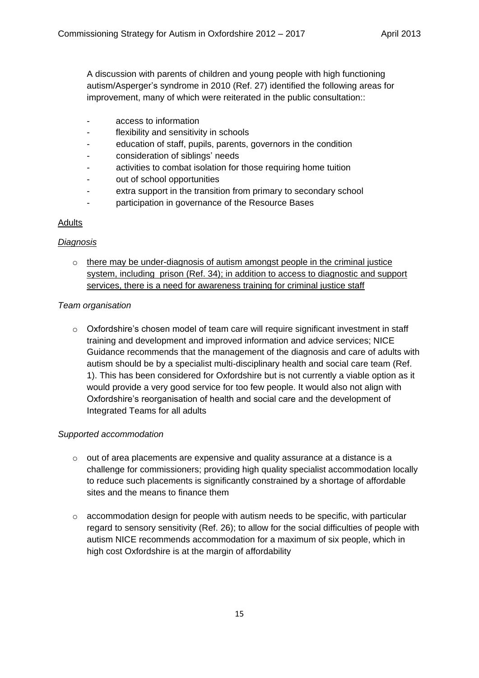A discussion with parents of children and young people with high functioning autism/Asperger's syndrome in 2010 (Ref. 27) identified the following areas for improvement, many of which were reiterated in the public consultation::

- access to information
- flexibility and sensitivity in schools
- education of staff, pupils, parents, governors in the condition
- consideration of siblings' needs
- activities to combat isolation for those requiring home tuition
- out of school opportunities
- extra support in the transition from primary to secondary school
- participation in governance of the Resource Bases

#### **Adults**

#### *Diagnosis*

o there may be under-diagnosis of autism amongst people in the criminal justice system, including prison (Ref. 34); in addition to access to diagnostic and support services, there is a need for awareness training for criminal justice staff

## *Team organisation*

 $\circ$  Oxfordshire's chosen model of team care will require significant investment in staff training and development and improved information and advice services; NICE Guidance recommends that the management of the diagnosis and care of adults with autism should be by a specialist multi-disciplinary health and social care team (Ref. 1). This has been considered for Oxfordshire but is not currently a viable option as it would provide a very good service for too few people. It would also not align with Oxfordshire's reorganisation of health and social care and the development of Integrated Teams for all adults

#### *Supported accommodation*

- $\circ$  out of area placements are expensive and quality assurance at a distance is a challenge for commissioners; providing high quality specialist accommodation locally to reduce such placements is significantly constrained by a shortage of affordable sites and the means to finance them
- $\circ$  accommodation design for people with autism needs to be specific, with particular regard to sensory sensitivity (Ref. 26); to allow for the social difficulties of people with autism NICE recommends accommodation for a maximum of six people, which in high cost Oxfordshire is at the margin of affordability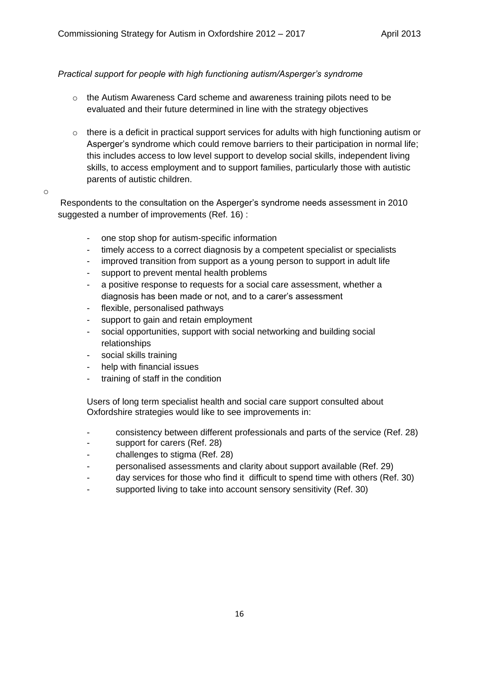## *Practical support for people with high functioning autism/Asperger's syndrome*

- o the Autism Awareness Card scheme and awareness training pilots need to be evaluated and their future determined in line with the strategy objectives
- $\circ$  there is a deficit in practical support services for adults with high functioning autism or Asperger's syndrome which could remove barriers to their participation in normal life; this includes access to low level support to develop social skills, independent living skills, to access employment and to support families, particularly those with autistic parents of autistic children.

#### o

Respondents to the consultation on the Asperger's syndrome needs assessment in 2010 suggested a number of improvements (Ref. 16) :

- one stop shop for autism-specific information
- timely access to a correct diagnosis by a competent specialist or specialists
- improved transition from support as a young person to support in adult life
- support to prevent mental health problems
- a positive response to requests for a social care assessment, whether a diagnosis has been made or not, and to a carer's assessment
- flexible, personalised pathways
- support to gain and retain employment
- social opportunities, support with social networking and building social relationships
- social skills training
- help with financial issues
- training of staff in the condition

Users of long term specialist health and social care support consulted about Oxfordshire strategies would like to see improvements in:

- consistency between different professionals and parts of the service (Ref. 28)
- support for carers (Ref. 28)
- challenges to stigma (Ref. 28)
- personalised assessments and clarity about support available (Ref. 29)
- day services for those who find it difficult to spend time with others (Ref. 30)
- supported living to take into account sensory sensitivity (Ref. 30)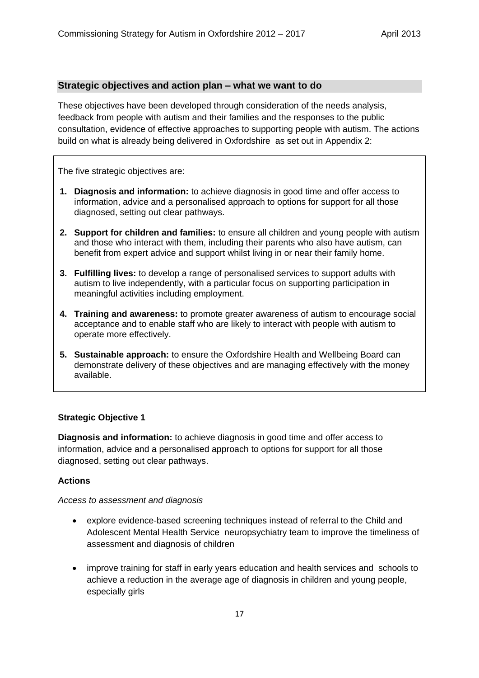#### **Strategic objectives and action plan – what we want to do**

These objectives have been developed through consideration of the needs analysis, feedback from people with autism and their families and the responses to the public consultation, evidence of effective approaches to supporting people with autism. The actions build on what is already being delivered in Oxfordshire as set out in Appendix 2:

The five strategic objectives are:

- **1. Diagnosis and information:** to achieve diagnosis in good time and offer access to information, advice and a personalised approach to options for support for all those diagnosed, setting out clear pathways.
- **2. Support for children and families:** to ensure all children and young people with autism and those who interact with them, including their parents who also have autism, can benefit from expert advice and support whilst living in or near their family home.
- **3. Fulfilling lives:** to develop a range of personalised services to support adults with autism to live independently, with a particular focus on supporting participation in meaningful activities including employment.
- **4. Training and awareness:** to promote greater awareness of autism to encourage social acceptance and to enable staff who are likely to interact with people with autism to operate more effectively.
- **5. Sustainable approach:** to ensure the Oxfordshire Health and Wellbeing Board can demonstrate delivery of these objectives and are managing effectively with the money available.

#### **Strategic Objective 1**

**Diagnosis and information:** to achieve diagnosis in good time and offer access to information, advice and a personalised approach to options for support for all those diagnosed, setting out clear pathways.

#### **Actions**

*Access to assessment and diagnosis*

- explore evidence-based screening techniques instead of referral to the Child and Adolescent Mental Health Service neuropsychiatry team to improve the timeliness of assessment and diagnosis of children
- improve training for staff in early years education and health services and schools to achieve a reduction in the average age of diagnosis in children and young people, especially girls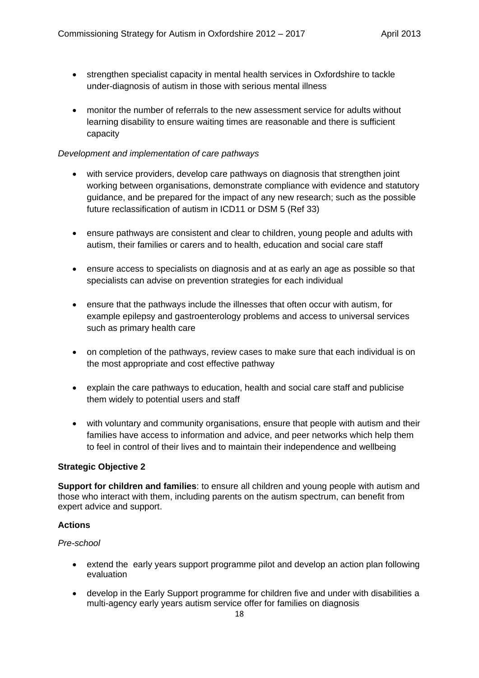- strengthen specialist capacity in mental health services in Oxfordshire to tackle under-diagnosis of autism in those with serious mental illness
- monitor the number of referrals to the new assessment service for adults without learning disability to ensure waiting times are reasonable and there is sufficient capacity

## *Development and implementation of care pathways*

- with service providers, develop care pathways on diagnosis that strengthen joint working between organisations, demonstrate compliance with evidence and statutory guidance, and be prepared for the impact of any new research; such as the possible future reclassification of autism in ICD11 or DSM 5 (Ref 33)
- ensure pathways are consistent and clear to children, young people and adults with autism, their families or carers and to health, education and social care staff
- ensure access to specialists on diagnosis and at as early an age as possible so that specialists can advise on prevention strategies for each individual
- ensure that the pathways include the illnesses that often occur with autism, for example epilepsy and gastroenterology problems and access to universal services such as primary health care
- on completion of the pathways, review cases to make sure that each individual is on the most appropriate and cost effective pathway
- explain the care pathways to education, health and social care staff and publicise them widely to potential users and staff
- with voluntary and community organisations, ensure that people with autism and their families have access to information and advice, and peer networks which help them to feel in control of their lives and to maintain their independence and wellbeing

#### **Strategic Objective 2**

**Support for children and families**: to ensure all children and young people with autism and those who interact with them, including parents on the autism spectrum, can benefit from expert advice and support.

#### **Actions**

#### *Pre-school*

- extend the early years support programme pilot and develop an action plan following evaluation
- develop in the Early Support programme for children five and under with disabilities a multi-agency early years autism service offer for families on diagnosis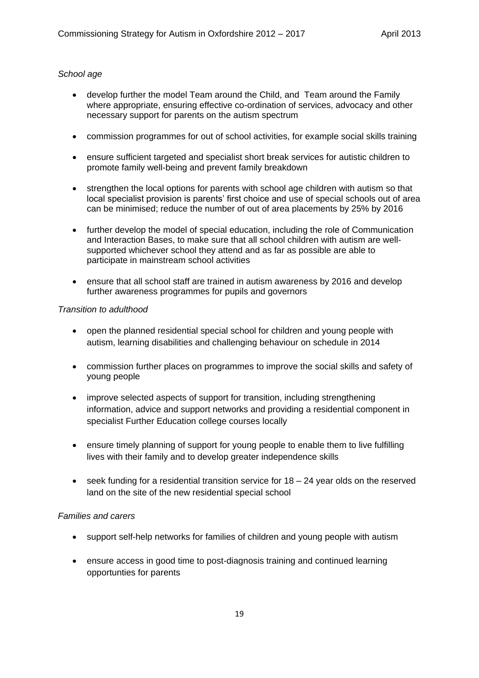#### *School age*

- develop further the model Team around the Child, and Team around the Family where appropriate, ensuring effective co-ordination of services, advocacy and other necessary support for parents on the autism spectrum
- commission programmes for out of school activities, for example social skills training
- ensure sufficient targeted and specialist short break services for autistic children to promote family well-being and prevent family breakdown
- strengthen the local options for parents with school age children with autism so that local specialist provision is parents' first choice and use of special schools out of area can be minimised; reduce the number of out of area placements by 25% by 2016
- further develop the model of special education, including the role of Communication and Interaction Bases, to make sure that all school children with autism are wellsupported whichever school they attend and as far as possible are able to participate in mainstream school activities
- ensure that all school staff are trained in autism awareness by 2016 and develop further awareness programmes for pupils and governors

#### *Transition to adulthood*

- open the planned residential special school for children and young people with autism, learning disabilities and challenging behaviour on schedule in 2014
- commission further places on programmes to improve the social skills and safety of young people
- improve selected aspects of support for transition, including strengthening information, advice and support networks and providing a residential component in specialist Further Education college courses locally
- ensure timely planning of support for young people to enable them to live fulfilling lives with their family and to develop greater independence skills
- seek funding for a residential transition service for 18 24 year olds on the reserved land on the site of the new residential special school

#### *Families and carers*

- support self-help networks for families of children and young people with autism
- ensure access in good time to post-diagnosis training and continued learning opportunties for parents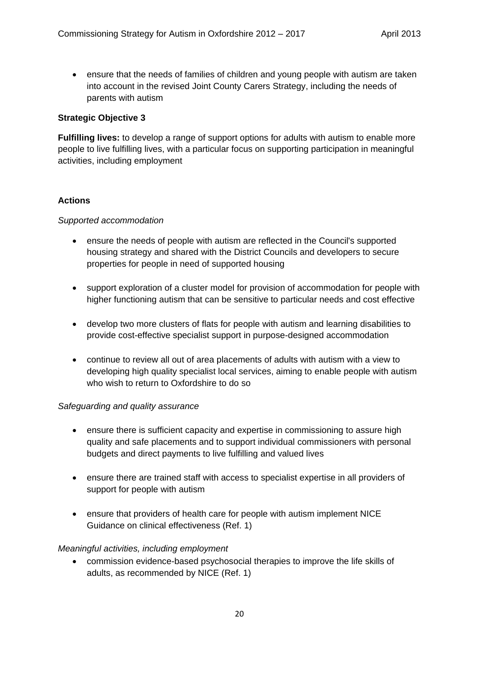ensure that the needs of families of children and young people with autism are taken into account in the revised Joint County Carers Strategy, including the needs of parents with autism

## **Strategic Objective 3**

**Fulfilling lives:** to develop a range of support options for adults with autism to enable more people to live fulfilling lives, with a particular focus on supporting participation in meaningful activities, including employment

## **Actions**

#### *Supported accommodation*

- ensure the needs of people with autism are reflected in the Council's supported housing strategy and shared with the District Councils and developers to secure properties for people in need of supported housing
- support exploration of a cluster model for provision of accommodation for people with higher functioning autism that can be sensitive to particular needs and cost effective
- develop two more clusters of flats for people with autism and learning disabilities to provide cost-effective specialist support in purpose-designed accommodation
- continue to review all out of area placements of adults with autism with a view to developing high quality specialist local services, aiming to enable people with autism who wish to return to Oxfordshire to do so

#### *Safeguarding and quality assurance*

- ensure there is sufficient capacity and expertise in commissioning to assure high quality and safe placements and to support individual commissioners with personal budgets and direct payments to live fulfilling and valued lives
- ensure there are trained staff with access to specialist expertise in all providers of support for people with autism
- ensure that providers of health care for people with autism implement NICE Guidance on clinical effectiveness (Ref. 1)

#### *Meaningful activities, including employment*

 commission evidence-based psychosocial therapies to improve the life skills of adults, as recommended by NICE (Ref. 1)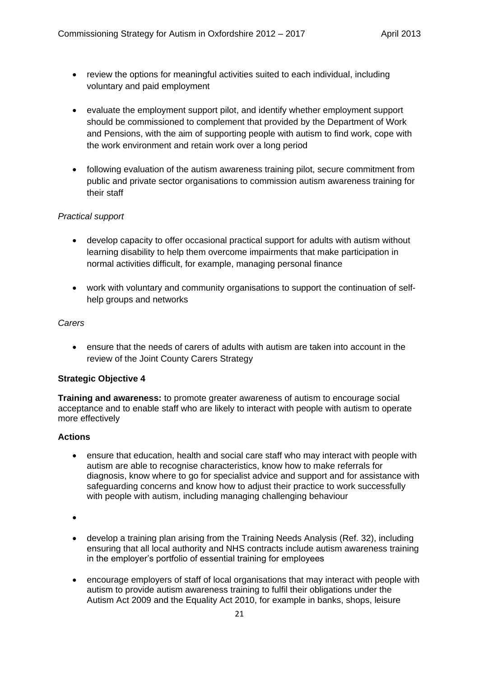- review the options for meaningful activities suited to each individual, including voluntary and paid employment
- evaluate the employment support pilot, and identify whether employment support should be commissioned to complement that provided by the Department of Work and Pensions, with the aim of supporting people with autism to find work, cope with the work environment and retain work over a long period
- following evaluation of the autism awareness training pilot, secure commitment from public and private sector organisations to commission autism awareness training for their staff

#### *Practical support*

- develop capacity to offer occasional practical support for adults with autism without learning disability to help them overcome impairments that make participation in normal activities difficult, for example, managing personal finance
- work with voluntary and community organisations to support the continuation of selfhelp groups and networks

#### *Carers*

 ensure that the needs of carers of adults with autism are taken into account in the review of the Joint County Carers Strategy

#### **Strategic Objective 4**

**Training and awareness:** to promote greater awareness of autism to encourage social acceptance and to enable staff who are likely to interact with people with autism to operate more effectively

#### **Actions**

 ensure that education, health and social care staff who may interact with people with autism are able to recognise characteristics, know how to make referrals for diagnosis, know where to go for specialist advice and support and for assistance with safeguarding concerns and know how to adjust their practice to work successfully with people with autism, including managing challenging behaviour

 $\bullet$ 

- develop a training plan arising from the Training Needs Analysis (Ref. 32), including ensuring that all local authority and NHS contracts include autism awareness training in the employer's portfolio of essential training for employees
- encourage employers of staff of local organisations that may interact with people with autism to provide autism awareness training to fulfil their obligations under the Autism Act 2009 and the Equality Act 2010, for example in banks, shops, leisure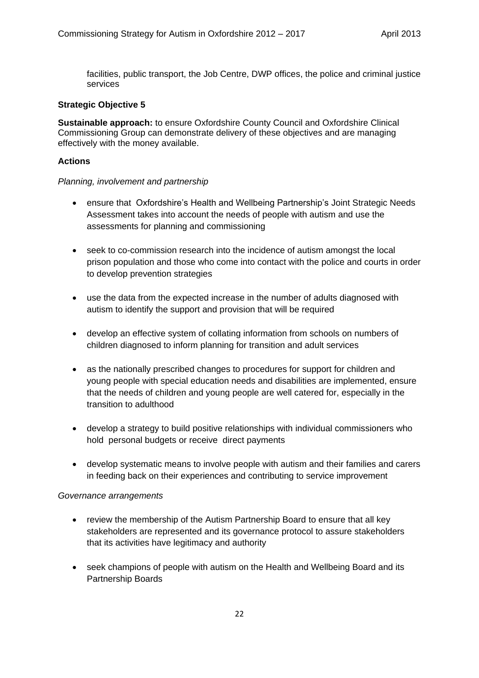facilities, public transport, the Job Centre, DWP offices, the police and criminal justice services

## **Strategic Objective 5**

**Sustainable approach:** to ensure Oxfordshire County Council and Oxfordshire Clinical Commissioning Group can demonstrate delivery of these objectives and are managing effectively with the money available.

#### **Actions**

#### *Planning, involvement and partnership*

- ensure that Oxfordshire's Health and Wellbeing Partnership's Joint Strategic Needs Assessment takes into account the needs of people with autism and use the assessments for planning and commissioning
- seek to co-commission research into the incidence of autism amongst the local prison population and those who come into contact with the police and courts in order to develop prevention strategies
- use the data from the expected increase in the number of adults diagnosed with autism to identify the support and provision that will be required
- develop an effective system of collating information from schools on numbers of children diagnosed to inform planning for transition and adult services
- as the nationally prescribed changes to procedures for support for children and young people with special education needs and disabilities are implemented, ensure that the needs of children and young people are well catered for, especially in the transition to adulthood
- develop a strategy to build positive relationships with individual commissioners who hold personal budgets or receive direct payments
- develop systematic means to involve people with autism and their families and carers in feeding back on their experiences and contributing to service improvement

#### *Governance arrangements*

- review the membership of the Autism Partnership Board to ensure that all key stakeholders are represented and its governance protocol to assure stakeholders that its activities have legitimacy and authority
- seek champions of people with autism on the Health and Wellbeing Board and its Partnership Boards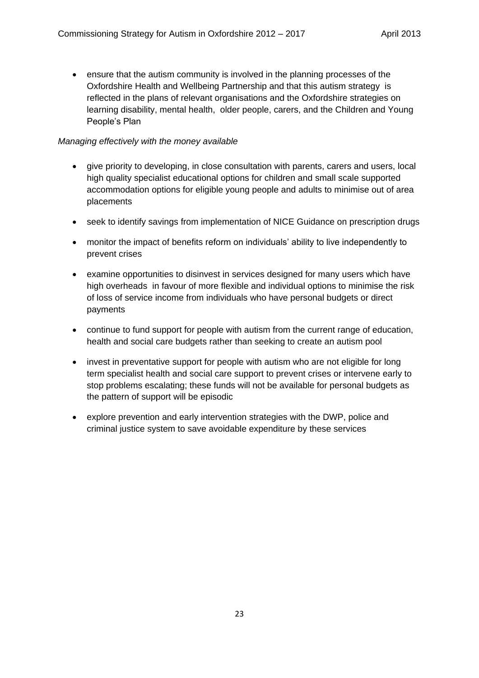ensure that the autism community is involved in the planning processes of the Oxfordshire Health and Wellbeing Partnership and that this autism strategy is reflected in the plans of relevant organisations and the Oxfordshire strategies on learning disability, mental health, older people, carers, and the Children and Young People's Plan

## *Managing effectively with the money available*

- give priority to developing, in close consultation with parents, carers and users, local high quality specialist educational options for children and small scale supported accommodation options for eligible young people and adults to minimise out of area placements
- seek to identify savings from implementation of NICE Guidance on prescription drugs
- monitor the impact of benefits reform on individuals' ability to live independently to prevent crises
- examine opportunities to disinvest in services designed for many users which have high overheads in favour of more flexible and individual options to minimise the risk of loss of service income from individuals who have personal budgets or direct payments
- continue to fund support for people with autism from the current range of education, health and social care budgets rather than seeking to create an autism pool
- invest in preventative support for people with autism who are not eligible for long term specialist health and social care support to prevent crises or intervene early to stop problems escalating; these funds will not be available for personal budgets as the pattern of support will be episodic
- explore prevention and early intervention strategies with the DWP, police and criminal justice system to save avoidable expenditure by these services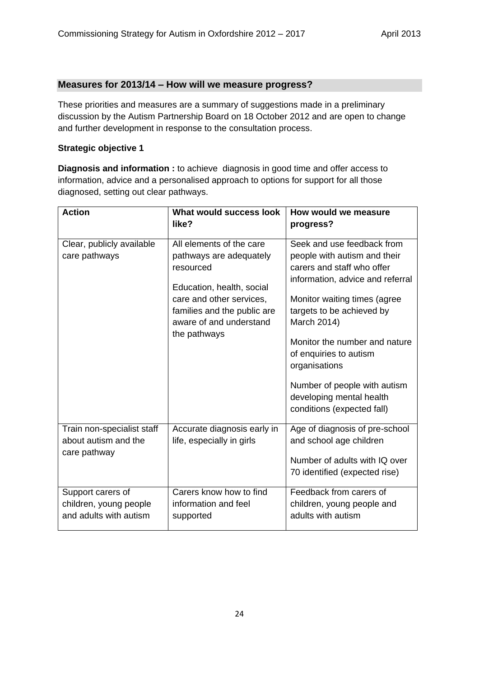## **Measures for 2013/14 – How will we measure progress?**

These priorities and measures are a summary of suggestions made in a preliminary discussion by the Autism Partnership Board on 18 October 2012 and are open to change and further development in response to the consultation process.

#### **Strategic objective 1**

**Diagnosis and information :** to achieve diagnosis in good time and offer access to information, advice and a personalised approach to options for support for all those diagnosed, setting out clear pathways.

| <b>Action</b>                                                         | What would success look<br>like?                                                                                                                                                                    | How would we measure<br>progress?                                                                                                                                                                                                                                                                                                                                              |
|-----------------------------------------------------------------------|-----------------------------------------------------------------------------------------------------------------------------------------------------------------------------------------------------|--------------------------------------------------------------------------------------------------------------------------------------------------------------------------------------------------------------------------------------------------------------------------------------------------------------------------------------------------------------------------------|
| Clear, publicly available<br>care pathways                            | All elements of the care<br>pathways are adequately<br>resourced<br>Education, health, social<br>care and other services,<br>families and the public are<br>aware of and understand<br>the pathways | Seek and use feedback from<br>people with autism and their<br>carers and staff who offer<br>information, advice and referral<br>Monitor waiting times (agree<br>targets to be achieved by<br>March 2014)<br>Monitor the number and nature<br>of enquiries to autism<br>organisations<br>Number of people with autism<br>developing mental health<br>conditions (expected fall) |
| Train non-specialist staff<br>about autism and the<br>care pathway    | Accurate diagnosis early in<br>life, especially in girls                                                                                                                                            | Age of diagnosis of pre-school<br>and school age children<br>Number of adults with IQ over<br>70 identified (expected rise)                                                                                                                                                                                                                                                    |
| Support carers of<br>children, young people<br>and adults with autism | Carers know how to find<br>information and feel<br>supported                                                                                                                                        | Feedback from carers of<br>children, young people and<br>adults with autism                                                                                                                                                                                                                                                                                                    |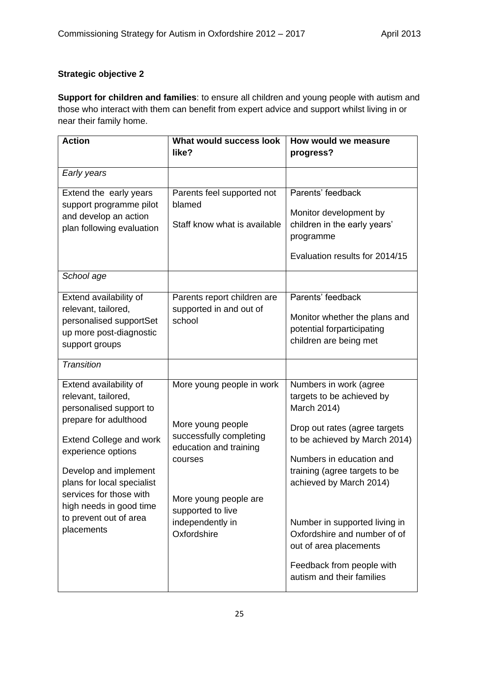# **Strategic objective 2**

**Support for children and families**: to ensure all children and young people with autism and those who interact with them can benefit from expert advice and support whilst living in or near their family home.

| <b>Action</b>                                                                                                                                                                                                                                                                                                  | What would success look                                                                                                                                                                         | How would we measure                                                                                                                                                                                                                                                                                                                                                              |
|----------------------------------------------------------------------------------------------------------------------------------------------------------------------------------------------------------------------------------------------------------------------------------------------------------------|-------------------------------------------------------------------------------------------------------------------------------------------------------------------------------------------------|-----------------------------------------------------------------------------------------------------------------------------------------------------------------------------------------------------------------------------------------------------------------------------------------------------------------------------------------------------------------------------------|
|                                                                                                                                                                                                                                                                                                                | like?                                                                                                                                                                                           | progress?                                                                                                                                                                                                                                                                                                                                                                         |
| Early years                                                                                                                                                                                                                                                                                                    |                                                                                                                                                                                                 |                                                                                                                                                                                                                                                                                                                                                                                   |
| Extend the early years<br>support programme pilot<br>and develop an action<br>plan following evaluation                                                                                                                                                                                                        | Parents feel supported not<br>blamed<br>Staff know what is available                                                                                                                            | Parents' feedback<br>Monitor development by<br>children in the early years'<br>programme<br>Evaluation results for 2014/15                                                                                                                                                                                                                                                        |
| School age                                                                                                                                                                                                                                                                                                     |                                                                                                                                                                                                 |                                                                                                                                                                                                                                                                                                                                                                                   |
| Extend availability of<br>relevant, tailored,<br>personalised supportSet<br>up more post-diagnostic<br>support groups                                                                                                                                                                                          | Parents report children are<br>supported in and out of<br>school                                                                                                                                | Parents' feedback<br>Monitor whether the plans and<br>potential forparticipating<br>children are being met                                                                                                                                                                                                                                                                        |
| <b>Transition</b>                                                                                                                                                                                                                                                                                              |                                                                                                                                                                                                 |                                                                                                                                                                                                                                                                                                                                                                                   |
| Extend availability of<br>relevant, tailored,<br>personalised support to<br>prepare for adulthood<br><b>Extend College and work</b><br>experience options<br>Develop and implement<br>plans for local specialist<br>services for those with<br>high needs in good time<br>to prevent out of area<br>placements | More young people in work<br>More young people<br>successfully completing<br>education and training<br>courses<br>More young people are<br>supported to live<br>independently in<br>Oxfordshire | Numbers in work (agree<br>targets to be achieved by<br>March 2014)<br>Drop out rates (agree targets<br>to be achieved by March 2014)<br>Numbers in education and<br>training (agree targets to be<br>achieved by March 2014)<br>Number in supported living in<br>Oxfordshire and number of of<br>out of area placements<br>Feedback from people with<br>autism and their families |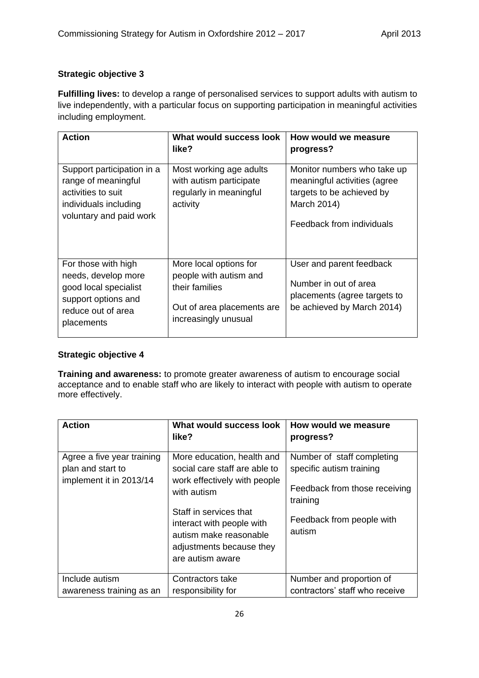## **Strategic objective 3**

**Fulfilling lives:** to develop a range of personalised services to support adults with autism to live independently, with a particular focus on supporting participation in meaningful activities including employment.

| <b>Action</b>                                                                                                                  | What would success look<br>like?                                                                                         | How would we measure<br>progress?                                                                                                    |
|--------------------------------------------------------------------------------------------------------------------------------|--------------------------------------------------------------------------------------------------------------------------|--------------------------------------------------------------------------------------------------------------------------------------|
| Support participation in a<br>range of meaningful<br>activities to suit<br>individuals including<br>voluntary and paid work    | Most working age adults<br>with autism participate<br>regularly in meaningful<br>activity                                | Monitor numbers who take up<br>meaningful activities (agree<br>targets to be achieved by<br>March 2014)<br>Feedback from individuals |
| For those with high<br>needs, develop more<br>good local specialist<br>support options and<br>reduce out of area<br>placements | More local options for<br>people with autism and<br>their families<br>Out of area placements are<br>increasingly unusual | User and parent feedback<br>Number in out of area<br>placements (agree targets to<br>be achieved by March 2014)                      |

## **Strategic objective 4**

**Training and awareness:** to promote greater awareness of autism to encourage social acceptance and to enable staff who are likely to interact with people with autism to operate more effectively.

| <b>Action</b>                                                              | What would success look<br>like?                                                                                                                                                                                        | How would we measure<br>progress?                                                                                                          |
|----------------------------------------------------------------------------|-------------------------------------------------------------------------------------------------------------------------------------------------------------------------------------------------------------------------|--------------------------------------------------------------------------------------------------------------------------------------------|
| Agree a five year training<br>plan and start to<br>implement it in 2013/14 | More education, health and<br>social care staff are able to<br>work effectively with people<br>with autism<br>Staff in services that<br>interact with people with<br>autism make reasonable<br>adjustments because they | Number of staff completing<br>specific autism training<br>Feedback from those receiving<br>training<br>Feedback from people with<br>autism |
|                                                                            | are autism aware                                                                                                                                                                                                        |                                                                                                                                            |
| Include autism<br>awareness training as an                                 | Contractors take<br>responsibility for                                                                                                                                                                                  | Number and proportion of<br>contractors' staff who receive                                                                                 |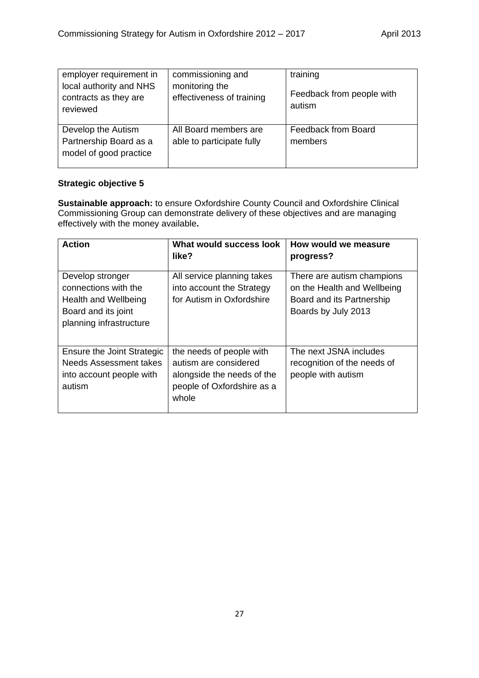| employer requirement in<br>local authority and NHS<br>contracts as they are<br>reviewed | commissioning and<br>monitoring the<br>effectiveness of training | training<br>Feedback from people with<br>autism |
|-----------------------------------------------------------------------------------------|------------------------------------------------------------------|-------------------------------------------------|
| Develop the Autism<br>Partnership Board as a<br>model of good practice                  | All Board members are<br>able to participate fully               | Feedback from Board<br>members                  |

## **Strategic objective 5**

**Sustainable approach:** to ensure Oxfordshire County Council and Oxfordshire Clinical Commissioning Group can demonstrate delivery of these objectives and are managing effectively with the money available**.**

| <b>Action</b>                                                                                                      | What would success look<br>like?                                                                                       | How would we measure<br>progress?                                                                             |
|--------------------------------------------------------------------------------------------------------------------|------------------------------------------------------------------------------------------------------------------------|---------------------------------------------------------------------------------------------------------------|
| Develop stronger<br>connections with the<br>Health and Wellbeing<br>Board and its joint<br>planning infrastructure | All service planning takes<br>into account the Strategy<br>for Autism in Oxfordshire                                   | There are autism champions<br>on the Health and Wellbeing<br>Board and its Partnership<br>Boards by July 2013 |
| <b>Ensure the Joint Strategic</b><br>Needs Assessment takes<br>into account people with<br>autism                  | the needs of people with<br>autism are considered<br>alongside the needs of the<br>people of Oxfordshire as a<br>whole | The next JSNA includes<br>recognition of the needs of<br>people with autism                                   |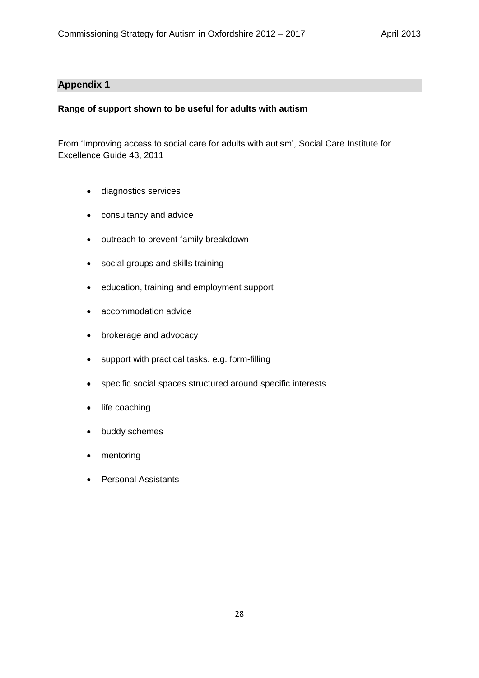## **Appendix 1**

#### **Range of support shown to be useful for adults with autism**

From 'Improving access to social care for adults with autism', Social Care Institute for Excellence Guide 43, 2011

- diagnostics services
- consultancy and advice
- outreach to prevent family breakdown
- social groups and skills training
- education, training and employment support
- accommodation advice
- brokerage and advocacy
- support with practical tasks, e.g. form-filling
- specific social spaces structured around specific interests
- life coaching
- buddy schemes
- mentoring
- Personal Assistants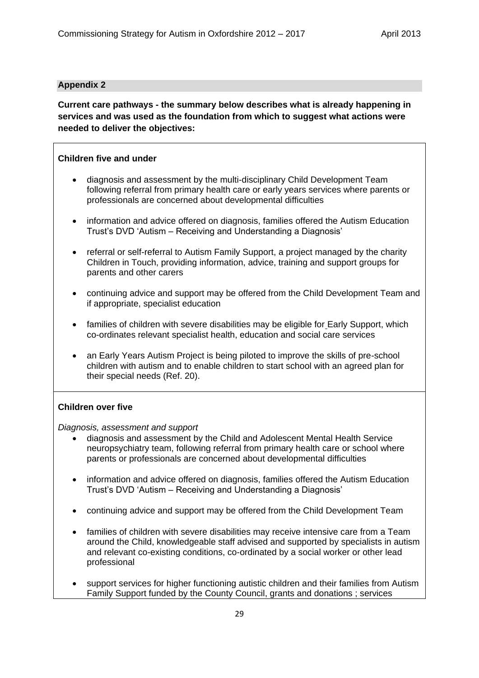## **Appendix 2**

**Current care pathways - the summary below describes what is already happening in services and was used as the foundation from which to suggest what actions were needed to deliver the objectives:** 

## **Children five and under**

- diagnosis and assessment by the multi-disciplinary Child Development Team following referral from primary health care or early years services where parents or professionals are concerned about developmental difficulties
- information and advice offered on diagnosis, families offered the Autism Education Trust's DVD 'Autism – Receiving and Understanding a Diagnosis'
- referral or self-referral to Autism Family Support, a project managed by the charity Children in Touch, providing information, advice, training and support groups for parents and other carers
- continuing advice and support may be offered from the Child Development Team and if appropriate, specialist education
- families of children with severe disabilities may be eligible for Early Support, which co-ordinates relevant specialist health, education and social care services
- an Early Years Autism Project is being piloted to improve the skills of pre-school children with autism and to enable children to start school with an agreed plan for their special needs (Ref. 20).

## **Children over five**

*Diagnosis, assessment and support* 

- diagnosis and assessment by the Child and Adolescent Mental Health Service neuropsychiatry team, following referral from primary health care or school where parents or professionals are concerned about developmental difficulties
- information and advice offered on diagnosis, families offered the Autism Education Trust's DVD 'Autism – Receiving and Understanding a Diagnosis'
- continuing advice and support may be offered from the Child Development Team
- families of children with severe disabilities may receive intensive care from a Team around the Child, knowledgeable staff advised and supported by specialists in autism and relevant co-existing conditions, co-ordinated by a social worker or other lead professional
- support services for higher functioning autistic children and their families from Autism Family Support funded by the County Council, grants and donations ; services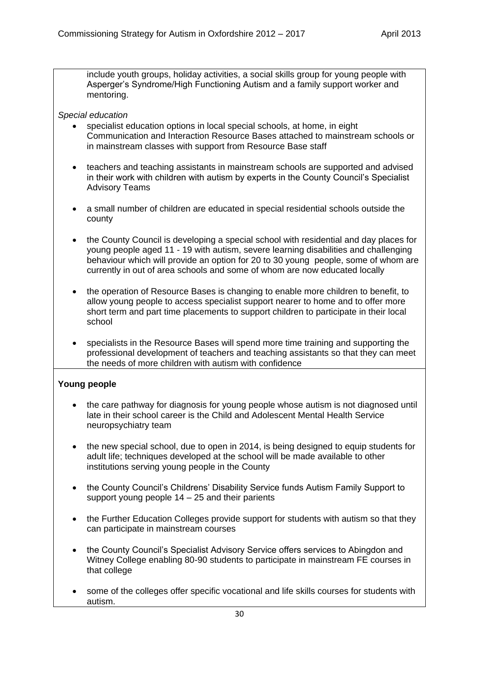include youth groups, holiday activities, a social skills group for young people with Asperger's Syndrome/High Functioning Autism and a family support worker and mentoring.

## *Special education*

- specialist education options in local special schools, at home, in eight Communication and Interaction Resource Bases attached to mainstream schools or in mainstream classes with support from Resource Base staff
- teachers and teaching assistants in mainstream schools are supported and advised in their work with children with autism by experts in the County Council's Specialist Advisory Teams
- a small number of children are educated in special residential schools outside the county
- the County Council is developing a special school with residential and day places for young people aged 11 - 19 with autism, severe learning disabilities and challenging behaviour which will provide an option for 20 to 30 young people, some of whom are currently in out of area schools and some of whom are now educated locally
- the operation of Resource Bases is changing to enable more children to benefit, to allow young people to access specialist support nearer to home and to offer more short term and part time placements to support children to participate in their local school
- specialists in the Resource Bases will spend more time training and supporting the professional development of teachers and teaching assistants so that they can meet the needs of more children with autism with confidence

## **Young people**

- the care pathway for diagnosis for young people whose autism is not diagnosed until late in their school career is the Child and Adolescent Mental Health Service neuropsychiatry team
- the new special school, due to open in 2014, is being designed to equip students for adult life; techniques developed at the school will be made available to other institutions serving young people in the County
- the County Council's Childrens' Disability Service funds Autism Family Support to support young people 14 – 25 and their parients
- the Further Education Colleges provide support for students with autism so that they can participate in mainstream courses
- the County Council's Specialist Advisory Service offers services to Abingdon and Witney College enabling 80-90 students to participate in mainstream FE courses in that college
- some of the colleges offer specific vocational and life skills courses for students with autism.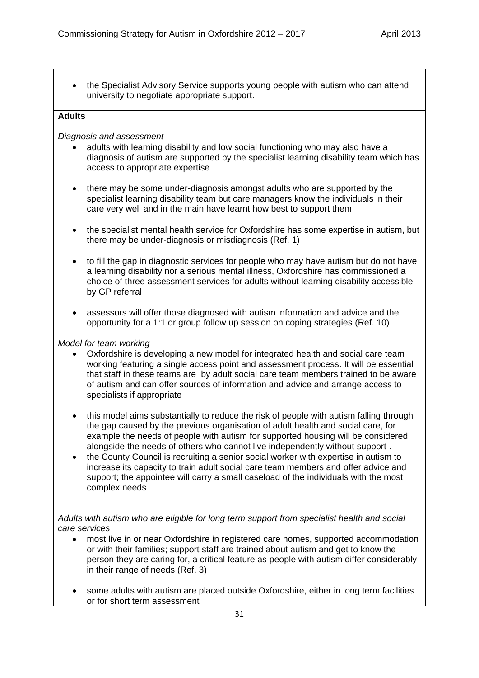the Specialist Advisory Service supports young people with autism who can attend university to negotiate appropriate support.

## **Adults**

## *Diagnosis and assessment*

- adults with learning disability and low social functioning who may also have a diagnosis of autism are supported by the specialist learning disability team which has access to appropriate expertise
- there may be some under-diagnosis amongst adults who are supported by the specialist learning disability team but care managers know the individuals in their care very well and in the main have learnt how best to support them
- the specialist mental health service for Oxfordshire has some expertise in autism, but there may be under-diagnosis or misdiagnosis (Ref. 1)
- to fill the gap in diagnostic services for people who may have autism but do not have a learning disability nor a serious mental illness, Oxfordshire has commissioned a choice of three assessment services for adults without learning disability accessible by GP referral
- assessors will offer those diagnosed with autism information and advice and the opportunity for a 1:1 or group follow up session on coping strategies (Ref. 10)

## *Model for team working*

- Oxfordshire is developing a new model for integrated health and social care team working featuring a single access point and assessment process. It will be essential that staff in these teams are by adult social care team members trained to be aware of autism and can offer sources of information and advice and arrange access to specialists if appropriate
- this model aims substantially to reduce the risk of people with autism falling through the gap caused by the previous organisation of adult health and social care, for example the needs of people with autism for supported housing will be considered alongside the needs of others who cannot live independently without support . .
- the County Council is recruiting a senior social worker with expertise in autism to increase its capacity to train adult social care team members and offer advice and support; the appointee will carry a small caseload of the individuals with the most complex needs

## *Adults with autism who are eligible for long term support from specialist health and social care services*

- most live in or near Oxfordshire in registered care homes, supported accommodation or with their families; support staff are trained about autism and get to know the person they are caring for, a critical feature as people with autism differ considerably in their range of needs (Ref. 3)
- some adults with autism are placed outside Oxfordshire, either in long term facilities or for short term assessment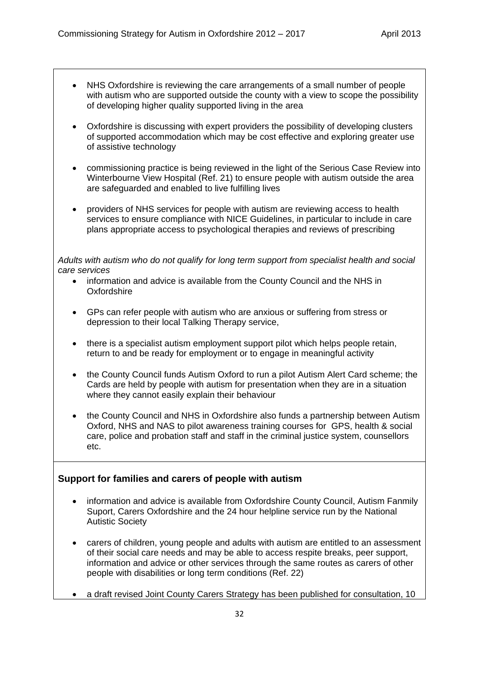- NHS Oxfordshire is reviewing the care arrangements of a small number of people with autism who are supported outside the county with a view to scope the possibility of developing higher quality supported living in the area
- Oxfordshire is discussing with expert providers the possibility of developing clusters of supported accommodation which may be cost effective and exploring greater use of assistive technology
- commissioning practice is being reviewed in the light of the Serious Case Review into Winterbourne View Hospital (Ref. 21) to ensure people with autism outside the area are safeguarded and enabled to live fulfilling lives
- providers of NHS services for people with autism are reviewing access to health services to ensure compliance with NICE Guidelines, in particular to include in care plans appropriate access to psychological therapies and reviews of prescribing

*Adults with autism who do not qualify for long term support from specialist health and social care services*

- information and advice is available from the County Council and the NHS in Oxfordshire
- GPs can refer people with autism who are anxious or suffering from stress or depression to their local Talking Therapy service,
- there is a specialist autism employment support pilot which helps people retain, return to and be ready for employment or to engage in meaningful activity
- the County Council funds Autism Oxford to run a pilot Autism Alert Card scheme; the Cards are held by people with autism for presentation when they are in a situation where they cannot easily explain their behaviour
- the County Council and NHS in Oxfordshire also funds a partnership between Autism Oxford, NHS and NAS to pilot awareness training courses for GPS, health & social care, police and probation staff and staff in the criminal justice system, counsellors etc.

# **Support for families and carers of people with autism**

- information and advice is available from Oxfordshire County Council, Autism Fanmily Suport, Carers Oxfordshire and the 24 hour helpline service run by the National Autistic Society
- carers of children, young people and adults with autism are entitled to an assessment of their social care needs and may be able to access respite breaks, peer support, information and advice or other services through the same routes as carers of other people with disabilities or long term conditions (Ref. 22)
- a draft revised Joint County Carers Strategy has been published for consultation, 10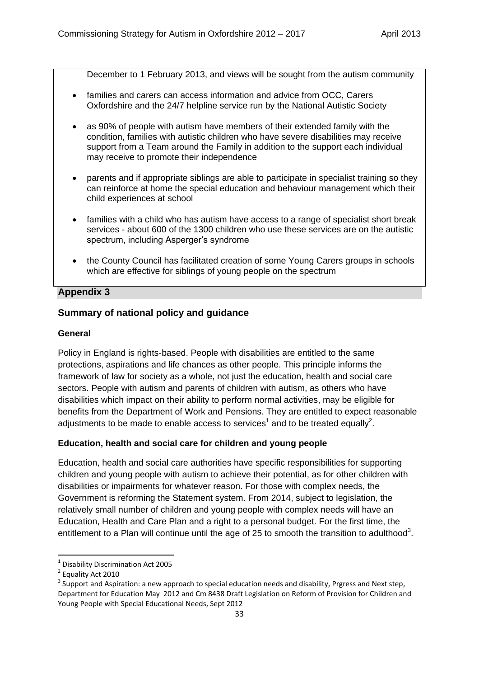December to 1 February 2013, and views will be sought from the autism community

- families and carers can access information and advice from OCC, Carers Oxfordshire and the 24/7 helpline service run by the National Autistic Society
- as 90% of people with autism have members of their extended family with the condition, families with autistic children who have severe disabilities may receive support from a Team around the Family in addition to the support each individual may receive to promote their independence
- parents and if appropriate siblings are able to participate in specialist training so they can reinforce at home the special education and behaviour management which their child experiences at school
- families with a child who has autism have access to a range of specialist short break services - about 600 of the 1300 children who use these services are on the autistic spectrum, including Asperger's syndrome
- the County Council has facilitated creation of some Young Carers groups in schools which are effective for siblings of young people on the spectrum

## **Appendix 3**

## **Summary of national policy and guidance**

#### **General**

Policy in England is rights-based. People with disabilities are entitled to the same protections, aspirations and life chances as other people. This principle informs the framework of law for society as a whole, not just the education, health and social care sectors. People with autism and parents of children with autism, as others who have disabilities which impact on their ability to perform normal activities, may be eligible for benefits from the Department of Work and Pensions. They are entitled to expect reasonable adjustments to be made to enable access to services<sup>1</sup> and to be treated equally<sup>2</sup>.

#### **Education, health and social care for children and young people**

Education, health and social care authorities have specific responsibilities for supporting children and young people with autism to achieve their potential, as for other children with disabilities or impairments for whatever reason. For those with complex needs, the Government is reforming the Statement system. From 2014, subject to legislation, the relatively small number of children and young people with complex needs will have an Education, Health and Care Plan and a right to a personal budget. For the first time, the entitlement to a Plan will continue until the age of 25 to smooth the transition to adulthood<sup>3</sup>.

**.** 

<sup>1</sup> Disability Discrimination Act 2005

<sup>&</sup>lt;sup>2</sup> Equality Act 2010

 $3$  Support and Aspiration: a new approach to special education needs and disability, Prgress and Next step, Department for Education May 2012 and Cm 8438 Draft Legislation on Reform of Provision for Children and Young People with Special Educational Needs, Sept 2012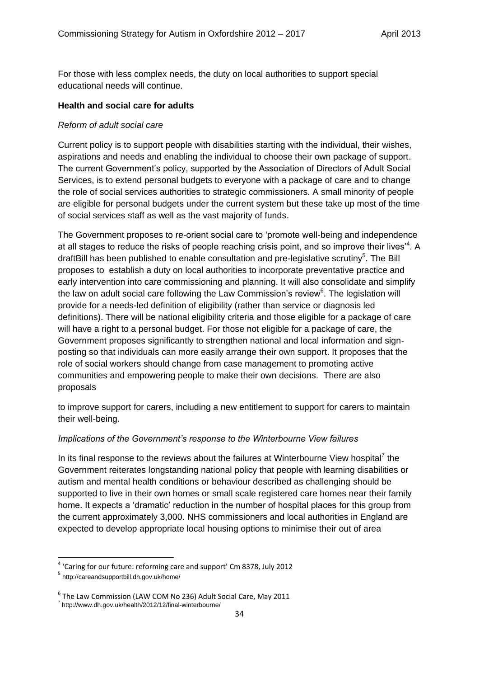For those with less complex needs, the duty on local authorities to support special educational needs will continue.

#### **Health and social care for adults**

#### *Reform of adult social care*

Current policy is to support people with disabilities starting with the individual, their wishes, aspirations and needs and enabling the individual to choose their own package of support. The current Government's policy, supported by the Association of Directors of Adult Social Services, is to extend personal budgets to everyone with a package of care and to change the role of social services authorities to strategic commissioners. A small minority of people are eligible for personal budgets under the current system but these take up most of the time of social services staff as well as the vast majority of funds.

The Government proposes to re-orient social care to 'promote well-being and independence at all stages to reduce the risks of people reaching crisis point, and so improve their lives<sup>14</sup>. A draftBill has been published to enable consultation and pre-legislative scrutiny<sup>5</sup>. The Bill proposes to establish a duty on local authorities to incorporate preventative practice and early intervention into care commissioning and planning. It will also consolidate and simplify the law on adult social care following the Law Commission's review $6$ . The legislation will provide for a needs-led definition of eligibility (rather than service or diagnosis led definitions). There will be national eligibility criteria and those eligible for a package of care will have a right to a personal budget. For those not eligible for a package of care, the Government proposes significantly to strengthen national and local information and signposting so that individuals can more easily arrange their own support. It proposes that the role of social workers should change from case management to promoting active communities and empowering people to make their own decisions. There are also proposals

to improve support for carers, including a new entitlement to support for carers to maintain their well-being.

#### *Implications of the Government's response to the Winterbourne View failures*

In its final response to the reviews about the failures at Winterbourne View hospital<sup>7</sup> the Government reiterates longstanding national policy that people with learning disabilities or autism and mental health conditions or behaviour described as challenging should be supported to live in their own homes or small scale registered care homes near their family home. It expects a 'dramatic' reduction in the number of hospital places for this group from the current approximately 3,000. NHS commissioners and local authorities in England are expected to develop appropriate local housing options to minimise their out of area

**.** 

<sup>&</sup>lt;sup>4</sup> 'Caring for our future: reforming care and support' Cm 8378, July 2012

<sup>5</sup> http://careandsupportbill.dh.gov.uk/home/

<sup>6</sup> The Law Commission (LAW COM No 236) Adult Social Care, May 2011

<sup>&</sup>lt;sup>7</sup> http://www.dh.gov.uk/health/2012/12/final-winterbourne/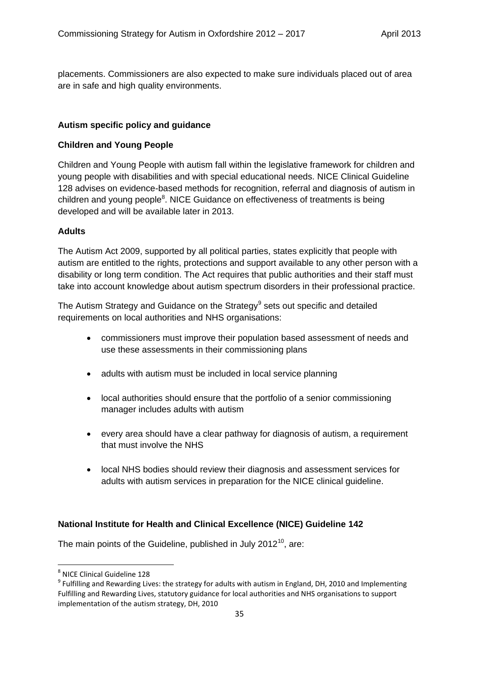placements. Commissioners are also expected to make sure individuals placed out of area are in safe and high quality environments.

## **Autism specific policy and guidance**

## **Children and Young People**

Children and Young People with autism fall within the legislative framework for children and young people with disabilities and with special educational needs. NICE Clinical Guideline 128 advises on evidence-based methods for recognition, referral and diagnosis of autism in children and young people<sup>8</sup>. NICE Guidance on effectiveness of treatments is being developed and will be available later in 2013.

#### **Adults**

The Autism Act 2009, supported by all political parties, states explicitly that people with autism are entitled to the rights, protections and support available to any other person with a disability or long term condition. The Act requires that public authorities and their staff must take into account knowledge about autism spectrum disorders in their professional practice.

The Autism Strategy and Guidance on the Strategy $9$  sets out specific and detailed requirements on local authorities and NHS organisations:

- commissioners must improve their population based assessment of needs and use these assessments in their commissioning plans
- adults with autism must be included in local service planning
- local authorities should ensure that the portfolio of a senior commissioning manager includes adults with autism
- every area should have a clear pathway for diagnosis of autism, a requirement that must involve the NHS
- local NHS bodies should review their diagnosis and assessment services for adults with autism services in preparation for the NICE clinical guideline.

## **National Institute for Health and Clinical Excellence (NICE) Guideline 142**

The main points of the Guideline, published in July 2012 $^{10}$ , are:

 8 NICE Clinical Guideline 128

<sup>&</sup>lt;sup>9</sup> Fulfilling and Rewarding Lives: the strategy for adults with autism in England, DH, 2010 and Implementing Fulfilling and Rewarding Lives, statutory guidance for local authorities and NHS organisations to support implementation of the autism strategy, DH, 2010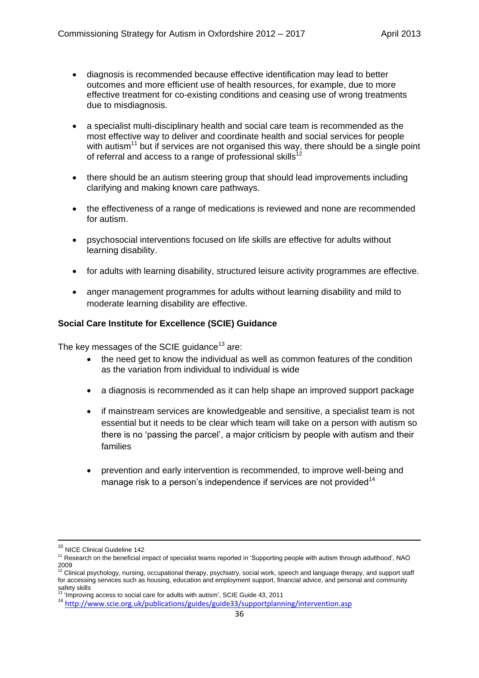- diagnosis is recommended because effective identification may lead to better outcomes and more efficient use of health resources, for example, due to more effective treatment for co-existing conditions and ceasing use of wrong treatments due to misdiagnosis.
- a specialist multi-disciplinary health and social care team is recommended as the most effective way to deliver and coordinate health and social services for people with autism<sup>11</sup> but if services are not organised this way, there should be a single point of referral and access to a range of professional skills $12$
- there should be an autism steering group that should lead improvements including clarifying and making known care pathways.
- the effectiveness of a range of medications is reviewed and none are recommended for autism.
- psychosocial interventions focused on life skills are effective for adults without learning disability.
- for adults with learning disability, structured leisure activity programmes are effective.
- anger management programmes for adults without learning disability and mild to moderate learning disability are effective.

## **Social Care Institute for Excellence (SCIE) Guidance**

The key messages of the SCIE guidance<sup>13</sup> are:

- the need get to know the individual as well as common features of the condition as the variation from individual to individual is wide
- a diagnosis is recommended as it can help shape an improved support package
- if mainstream services are knowledgeable and sensitive, a specialist team is not essential but it needs to be clear which team will take on a person with autism so there is no 'passing the parcel', a major criticism by people with autism and their families
- prevention and early intervention is recommended, to improve well-being and manage risk to a person's independence if services are not provided<sup>14</sup>

**.** 

<sup>&</sup>lt;sup>10</sup> NICE Clinical Guideline 142

<sup>11</sup> Research on the beneficial impact of specialist teams reported in 'Supporting people with autism through adulthood', NAO 2009<br><sup>12</sup> Clinical psychology, nursing, occupational therapy, psychiatry, social work, speech and language therapy, and support staff

for accessing services such as housing, education and employment support, financial advice, and personal and community safety skills <sup>13</sup> 'Improving access to social care for adults with autism', SCIE Guide 43, 2011

<sup>14</sup> <http://www.scie.org.uk/publications/guides/guide33/supportplanning/intervention.asp>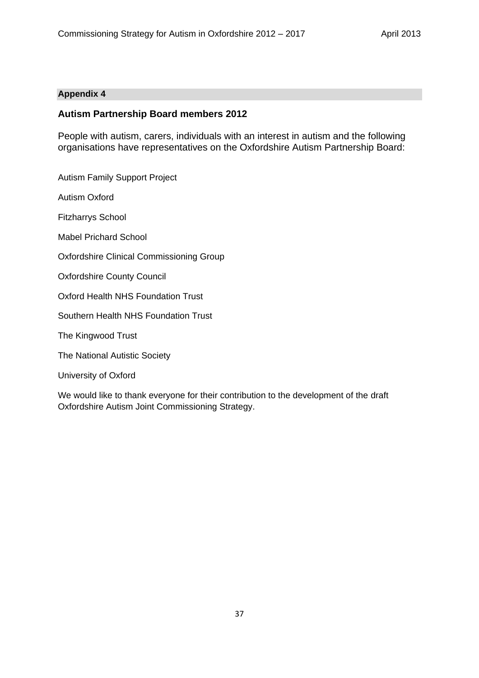#### **Appendix 4**

## **Autism Partnership Board members 2012**

People with autism, carers, individuals with an interest in autism and the following organisations have representatives on the Oxfordshire Autism Partnership Board:

Autism Family Support Project

Autism Oxford

Fitzharrys School

Mabel Prichard School

Oxfordshire Clinical Commissioning Group

Oxfordshire County Council

Oxford Health NHS Foundation Trust

Southern Health NHS Foundation Trust

The Kingwood Trust

The National Autistic Society

University of Oxford

We would like to thank everyone for their contribution to the development of the draft Oxfordshire Autism Joint Commissioning Strategy.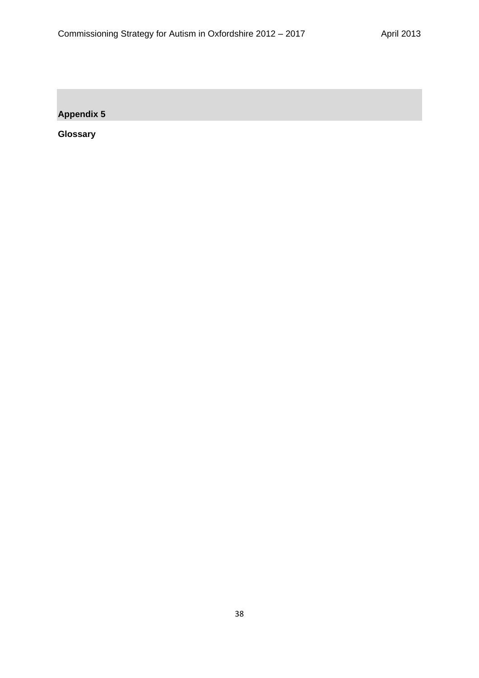**Appendix 5**

**Glossary**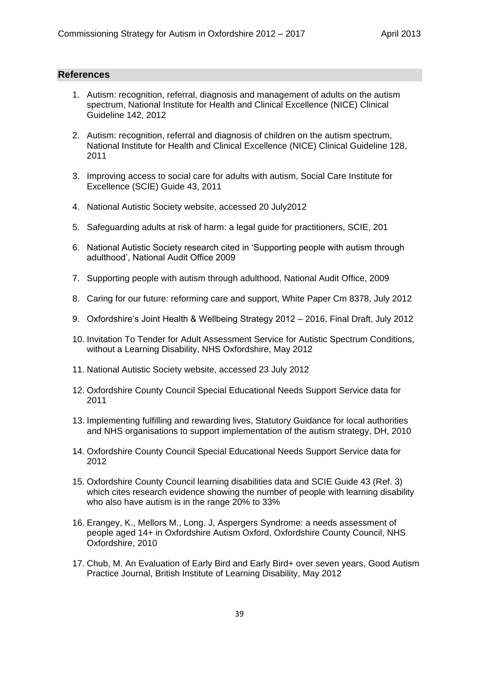#### **References**

- 1. Autism: recognition, referral, diagnosis and management of adults on the autism spectrum, National Institute for Health and Clinical Excellence (NICE) Clinical Guideline 142, 2012
- 2. Autism: recognition, referral and diagnosis of children on the autism spectrum, National Institute for Health and Clinical Excellence (NICE) Clinical Guideline 128, 2011
- 3. Improving access to social care for adults with autism, Social Care Institute for Excellence (SCIE) Guide 43, 2011
- 4. National Autistic Society website, accessed 20 July2012
- 5. Safeguarding adults at risk of harm: a legal guide for practitioners, SCIE, 201
- 6. National Autistic Society research cited in 'Supporting people with autism through adulthood', National Audit Office 2009
- 7. Supporting people with autism through adulthood, National Audit Office, 2009
- 8. Caring for our future: reforming care and support, White Paper Cm 8378, July 2012
- 9. Oxfordshire's Joint Health & Wellbeing Strategy 2012 2016, Final Draft, July 2012
- 10. Invitation To Tender for Adult Assessment Service for Autistic Spectrum Conditions, without a Learning Disability, NHS Oxfordshire, May 2012
- 11. National Autistic Society website, accessed 23 July 2012
- 12. Oxfordshire County Council Special Educational Needs Support Service data for 2011
- 13. Implementing fulfilling and rewarding lives, Statutory Guidance for local authorities and NHS organisations to support implementation of the autism strategy, DH, 2010
- 14. Oxfordshire County Council Special Educational Needs Support Service data for 2012
- 15. Oxfordshire County Council learning disabilities data and SCIE Guide 43 (Ref. 3) which cites research evidence showing the number of people with learning disability who also have autism is in the range 20% to 33%
- 16. Erangey, K., Mellors M., Long. J, Aspergers Syndrome: a needs assessment of people aged 14+ in Oxfordshire Autism Oxford, Oxfordshire County Council, NHS Oxfordshire, 2010
- 17. Chub, M. An Evaluation of Early Bird and Early Bird+ over seven years, Good Autism Practice Journal, British Institute of Learning Disability, May 2012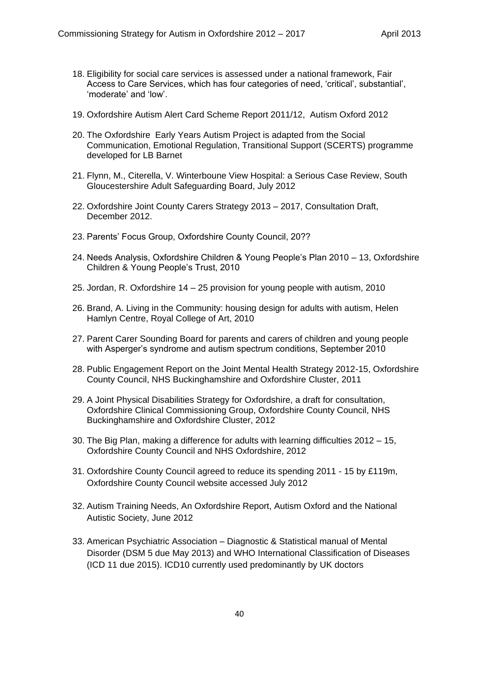- 18. Eligibility for social care services is assessed under a national framework, Fair Access to Care Services, which has four categories of need, 'critical', substantial', 'moderate' and 'low'.
- 19. Oxfordshire Autism Alert Card Scheme Report 2011/12, Autism Oxford 2012
- 20. The Oxfordshire Early Years Autism Project is adapted from the Social Communication, Emotional Regulation, Transitional Support (SCERTS) programme developed for LB Barnet
- 21. Flynn, M., Citerella, V. Winterboune View Hospital: a Serious Case Review, South Gloucestershire Adult Safeguarding Board, July 2012
- 22. Oxfordshire Joint County Carers Strategy 2013 2017, Consultation Draft, December 2012.
- 23. Parents' Focus Group, Oxfordshire County Council, 20??
- 24. Needs Analysis, Oxfordshire Children & Young People's Plan 2010 13, Oxfordshire Children & Young People's Trust, 2010
- 25. Jordan, R. Oxfordshire 14 25 provision for young people with autism, 2010
- 26. Brand, A. Living in the Community: housing design for adults with autism, Helen Hamlyn Centre, Royal College of Art, 2010
- 27. Parent Carer Sounding Board for parents and carers of children and young people with Asperger's syndrome and autism spectrum conditions, September 2010
- 28. Public Engagement Report on the Joint Mental Health Strategy 2012-15, Oxfordshire County Council, NHS Buckinghamshire and Oxfordshire Cluster, 2011
- 29. A Joint Physical Disabilities Strategy for Oxfordshire, a draft for consultation, Oxfordshire Clinical Commissioning Group, Oxfordshire County Council, NHS Buckinghamshire and Oxfordshire Cluster, 2012
- 30. The Big Plan, making a difference for adults with learning difficulties 2012 15, Oxfordshire County Council and NHS Oxfordshire, 2012
- 31. Oxfordshire County Council agreed to reduce its spending 2011 15 by £119m, Oxfordshire County Council website accessed July 2012
- 32. Autism Training Needs, An Oxfordshire Report, Autism Oxford and the National Autistic Society, June 2012
- 33. American Psychiatric Association Diagnostic & Statistical manual of Mental Disorder (DSM 5 due May 2013) and WHO International Classification of Diseases (ICD 11 due 2015). ICD10 currently used predominantly by UK doctors